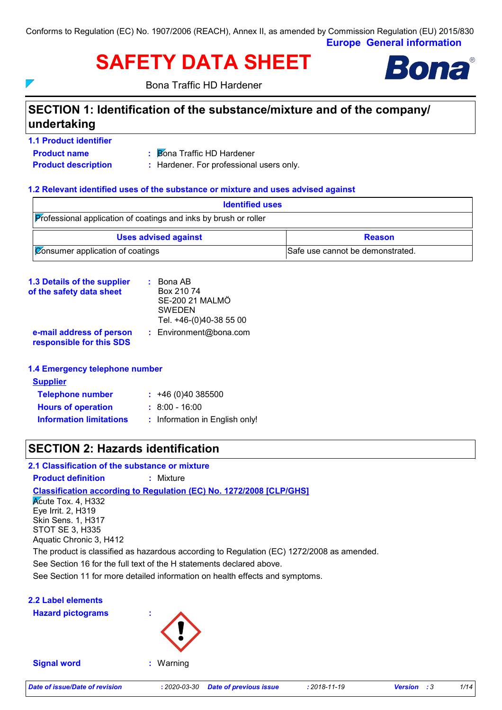**Europe General information** Conforms to Regulation (EC) No. 1907/2006 (REACH), Annex II, as amended by Commission Regulation (EU) 2015/830

# **SAFETY DATA SHEET**



Bona Traffic HD Hardener

## **SECTION 1: Identification of the substance/mixture and of the company/ undertaking**

- **1.1 Product identifier**
- **Bona Traffic HD Hardener**
- 

**Product name**

 $\overline{ }$ 

- 
- 
- 
- **Product description :** Hardener. For professional users only.

### **1.2 Relevant identified uses of the substance or mixture and uses advised against**

| <b>Identified uses</b>                                                  |                                  |  |  |
|-------------------------------------------------------------------------|----------------------------------|--|--|
| <b>Professional application of coatings and inks by brush or roller</b> |                                  |  |  |
| <b>Uses advised against</b>                                             | <b>Reason</b>                    |  |  |
| $ $ $\emptyset$ consumer application of coatings                        | Safe use cannot be demonstrated. |  |  |

| <b>1.3 Details of the supplier</b>                   | $\therefore$ Bona AB    |  |
|------------------------------------------------------|-------------------------|--|
| of the safety data sheet                             | Box 210 74              |  |
|                                                      | SE-200 21 MALMÖ         |  |
|                                                      | <b>SWEDEN</b>           |  |
|                                                      | Tel. +46-(0)40-38 55 00 |  |
| e-mail address of person<br>responsible for this SDS | : Environment@bona.com  |  |

### **1.4 Emergency telephone number**

| <b>Supplier</b>                |                                |
|--------------------------------|--------------------------------|
| <b>Telephone number</b>        | $: +46(0)40385500$             |
| <b>Hours of operation</b>      | $: 8:00 - 16:00$               |
| <b>Information limitations</b> | : Information in English only! |

### **SECTION 2: Hazards identification**

### **2.1 Classification of the substance or mixture**

**Product definition :** Mixture

**Classification according to Regulation (EC) No. 1272/2008 [CLP/GHS]**

Kcute Tox. 4, H332 Eye Irrit. 2, H319 Skin Sens. 1, H317 STOT SE 3, H335 Aquatic Chronic 3, H412

The product is classified as hazardous according to Regulation (EC) 1272/2008 as amended.

See Section 16 for the full text of the H statements declared above.

See Section 11 for more detailed information on health effects and symptoms.

### **2.2 Label elements**

**Hazard pictograms :**



**Signal word :** Warning

*Date of issue/Date of revision* **:** *2020-03-30 Date of previous issue : 2018-11-19 Version : 3 1/14*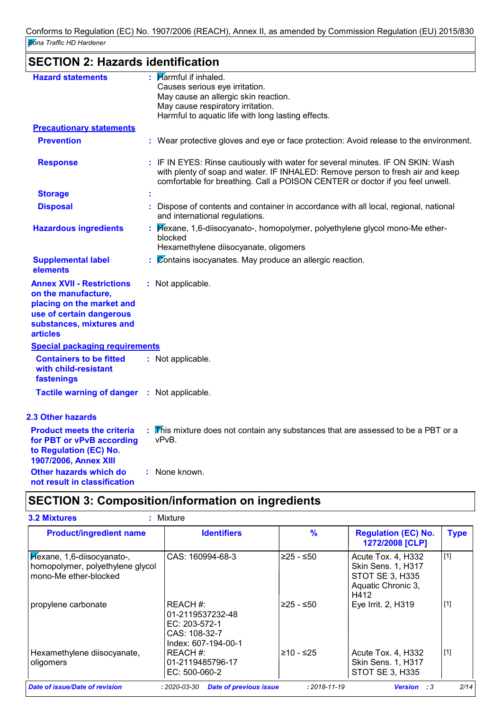# **SECTION 2: Hazards identification**

| <b>Hazard statements</b>                                                                                                                                        | $\mathbf{H}$ Marmful if inhaled.                                                                                                                                                                                                                   |
|-----------------------------------------------------------------------------------------------------------------------------------------------------------------|----------------------------------------------------------------------------------------------------------------------------------------------------------------------------------------------------------------------------------------------------|
|                                                                                                                                                                 | Causes serious eye irritation.                                                                                                                                                                                                                     |
|                                                                                                                                                                 | May cause an allergic skin reaction.<br>May cause respiratory irritation.                                                                                                                                                                          |
|                                                                                                                                                                 | Harmful to aquatic life with long lasting effects.                                                                                                                                                                                                 |
| <b>Precautionary statements</b>                                                                                                                                 |                                                                                                                                                                                                                                                    |
| <b>Prevention</b>                                                                                                                                               | : Wear protective gloves and eye or face protection: Avoid release to the environment.                                                                                                                                                             |
| <b>Response</b>                                                                                                                                                 | : IF IN EYES: Rinse cautiously with water for several minutes. IF ON SKIN: Wash<br>with plenty of soap and water. IF INHALED: Remove person to fresh air and keep<br>comfortable for breathing. Call a POISON CENTER or doctor if you feel unwell. |
| <b>Storage</b>                                                                                                                                                  |                                                                                                                                                                                                                                                    |
| <b>Disposal</b>                                                                                                                                                 | Dispose of contents and container in accordance with all local, regional, national<br>and international regulations.                                                                                                                               |
| <b>Hazardous ingredients</b>                                                                                                                                    | Bexane, 1,6-diisocyanato-, homopolymer, polyethylene glycol mono-Me ether-<br>blocked<br>Hexamethylene diisocyanate, oligomers                                                                                                                     |
|                                                                                                                                                                 |                                                                                                                                                                                                                                                    |
| <b>Supplemental label</b><br>elements                                                                                                                           | Contains isocyanates. May produce an allergic reaction.                                                                                                                                                                                            |
| <b>Annex XVII - Restrictions</b><br>on the manufacture,<br>placing on the market and<br>use of certain dangerous<br>substances, mixtures and<br><b>articles</b> | : Not applicable.                                                                                                                                                                                                                                  |
| <b>Special packaging requirements</b>                                                                                                                           |                                                                                                                                                                                                                                                    |
| <b>Containers to be fitted</b><br>with child-resistant<br>fastenings                                                                                            | : Not applicable.                                                                                                                                                                                                                                  |
| Tactile warning of danger : Not applicable.                                                                                                                     |                                                                                                                                                                                                                                                    |
| 2.3 Other hazards                                                                                                                                               |                                                                                                                                                                                                                                                    |
| <b>Product meets the criteria</b><br>for PBT or vPvB according<br>to Regulation (EC) No.<br>1907/2006, Annex XIII                                               | This mixture does not contain any substances that are assessed to be a PBT or a<br>vPvB.                                                                                                                                                           |
| <b>Other hazards which do</b><br>not result in classification                                                                                                   | None known.                                                                                                                                                                                                                                        |

# **SECTION 3: Composition/information on ingredients**

| <b>Product/ingredient name</b>                                                          | <b>Identifiers</b>                                                                        | $\frac{9}{6}$      | <b>Regulation (EC) No.</b><br>1272/2008 [CLP]                                                    | <b>Type</b> |
|-----------------------------------------------------------------------------------------|-------------------------------------------------------------------------------------------|--------------------|--------------------------------------------------------------------------------------------------|-------------|
| Hexane, 1,6-diisocyanato-,<br>homopolymer, polyethylene glycol<br>mono-Me ether-blocked | CAS: 160994-68-3                                                                          | 225 - ≤50          | Acute Tox. 4, H332<br>Skin Sens. 1, H317<br><b>STOT SE 3, H335</b><br>Aquatic Chronic 3,<br>H412 | $[1]$       |
| propylene carbonate                                                                     | REACH #:<br>01-2119537232-48<br>$EC: 203-572-1$<br>$CAS: 108-32-7$<br>Index: 607-194-00-1 | $≥25 - ≤50$        | Eye Irrit. 2, H319                                                                               | $[1]$       |
| Hexamethylene diisocyanate,<br>oligomers                                                | REACH #:<br>01-2119485796-17<br>$EC: 500-060-2$                                           | $≥10 - ≤25$        | Acute Tox. 4, H332<br><b>Skin Sens. 1, H317</b><br>STOT SE 3, H335                               | [1]         |
| <b>Date of issue/Date of revision</b>                                                   | <b>Date of previous issue</b><br>$: 2020 - 03 - 30$                                       | $: 2018 - 11 - 19$ | <b>Version</b><br>:3                                                                             | 2/14        |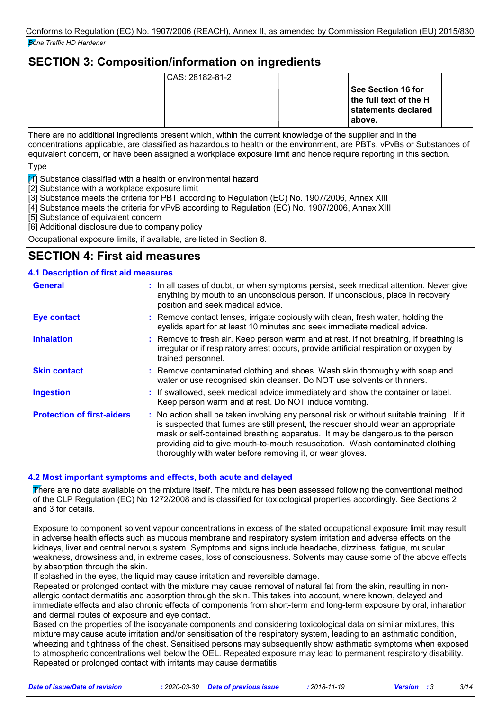### **SECTION 3: Composition/information on ingredients** CAS: 28182-81-2 **See Section 16 for the full text of the H statements declared above.**

There are no additional ingredients present which, within the current knowledge of the supplier and in the concentrations applicable, are classified as hazardous to health or the environment, are PBTs, vPvBs or Substances of equivalent concern, or have been assigned a workplace exposure limit and hence require reporting in this section.

Type

 $\mathbb{Z}$  Substance classified with a health or environmental hazard

[2] Substance with a workplace exposure limit

[3] Substance meets the criteria for PBT according to Regulation (EC) No. 1907/2006, Annex XIII

[4] Substance meets the criteria for vPvB according to Regulation (EC) No. 1907/2006, Annex XIII

[5] Substance of equivalent concern

[6] Additional disclosure due to company policy

Occupational exposure limits, if available, are listed in Section 8.

### **SECTION 4: First aid measures**

### **4.1 Description of first aid measures**

| <b>General</b>                    | : In all cases of doubt, or when symptoms persist, seek medical attention. Never give<br>anything by mouth to an unconscious person. If unconscious, place in recovery<br>position and seek medical advice.                                                                                                                                                                                                     |
|-----------------------------------|-----------------------------------------------------------------------------------------------------------------------------------------------------------------------------------------------------------------------------------------------------------------------------------------------------------------------------------------------------------------------------------------------------------------|
| <b>Eye contact</b>                | : Remove contact lenses, irrigate copiously with clean, fresh water, holding the<br>eyelids apart for at least 10 minutes and seek immediate medical advice.                                                                                                                                                                                                                                                    |
| <b>Inhalation</b>                 | : Remove to fresh air. Keep person warm and at rest. If not breathing, if breathing is<br>irregular or if respiratory arrest occurs, provide artificial respiration or oxygen by<br>trained personnel.                                                                                                                                                                                                          |
| <b>Skin contact</b>               | : Remove contaminated clothing and shoes. Wash skin thoroughly with soap and<br>water or use recognised skin cleanser. Do NOT use solvents or thinners.                                                                                                                                                                                                                                                         |
| <b>Ingestion</b>                  | : If swallowed, seek medical advice immediately and show the container or label.<br>Keep person warm and at rest. Do NOT induce vomiting.                                                                                                                                                                                                                                                                       |
| <b>Protection of first-aiders</b> | : No action shall be taken involving any personal risk or without suitable training. If it<br>is suspected that fumes are still present, the rescuer should wear an appropriate<br>mask or self-contained breathing apparatus. It may be dangerous to the person<br>providing aid to give mouth-to-mouth resuscitation. Wash contaminated clothing<br>thoroughly with water before removing it, or wear gloves. |

### **4.2 Most important symptoms and effects, both acute and delayed**

There are no data available on the mixture itself. The mixture has been assessed following the conventional method of the CLP Regulation (EC) No 1272/2008 and is classified for toxicological properties accordingly. See Sections 2 and 3 for details.

Exposure to component solvent vapour concentrations in excess of the stated occupational exposure limit may result in adverse health effects such as mucous membrane and respiratory system irritation and adverse effects on the kidneys, liver and central nervous system. Symptoms and signs include headache, dizziness, fatigue, muscular weakness, drowsiness and, in extreme cases, loss of consciousness. Solvents may cause some of the above effects by absorption through the skin.

If splashed in the eyes, the liquid may cause irritation and reversible damage.

Repeated or prolonged contact with the mixture may cause removal of natural fat from the skin, resulting in nonallergic contact dermatitis and absorption through the skin. This takes into account, where known, delayed and immediate effects and also chronic effects of components from short-term and long-term exposure by oral, inhalation and dermal routes of exposure and eye contact.

Based on the properties of the isocyanate components and considering toxicological data on similar mixtures, this mixture may cause acute irritation and/or sensitisation of the respiratory system, leading to an asthmatic condition, wheezing and tightness of the chest. Sensitised persons may subsequently show asthmatic symptoms when exposed to atmospheric concentrations well below the OEL. Repeated exposure may lead to permanent respiratory disability. Repeated or prolonged contact with irritants may cause dermatitis.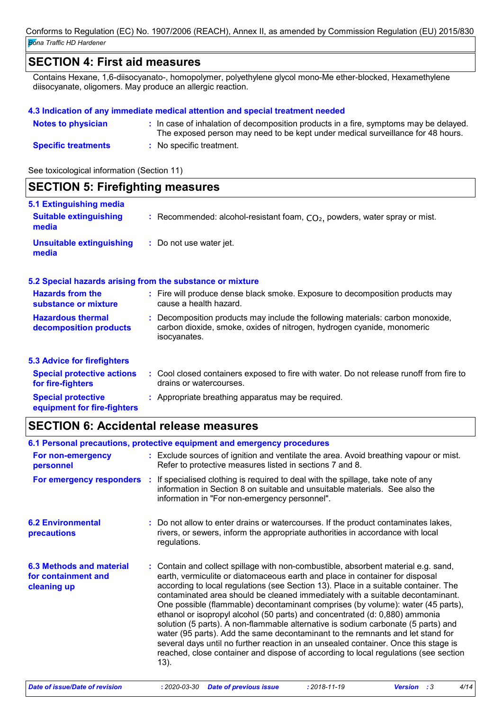### **SECTION 4: First aid measures**

Contains Hexane, 1,6-diisocyanato-, homopolymer, polyethylene glycol mono-Me ether-blocked, Hexamethylene diisocyanate, oligomers. May produce an allergic reaction.

#### **4.3 Indication of any immediate medical attention and special treatment needed**

| <b>Notes to physician</b>  | : In case of inhalation of decomposition products in a fire, symptoms may be delayed.<br>The exposed person may need to be kept under medical surveillance for 48 hours. |
|----------------------------|--------------------------------------------------------------------------------------------------------------------------------------------------------------------------|
| <b>Specific treatments</b> | : No specific treatment.                                                                                                                                                 |

See toxicological information (Section 11)

| <b>SECTION 5: Firefighting measures</b>                                  |                                                                                                                                                                          |
|--------------------------------------------------------------------------|--------------------------------------------------------------------------------------------------------------------------------------------------------------------------|
| <b>5.1 Extinguishing media</b><br><b>Suitable extinguishing</b><br>media | : Recommended: alcohol-resistant foam, $CO2$ , powders, water spray or mist.                                                                                             |
| <b>Unsuitable extinguishing</b><br>media                                 | : Do not use water jet.                                                                                                                                                  |
|                                                                          | 5.2 Special hazards arising from the substance or mixture                                                                                                                |
| <b>Hazards from the</b><br>substance or mixture                          | : Fire will produce dense black smoke. Exposure to decomposition products may<br>cause a health hazard.                                                                  |
| <b>Hazardous thermal</b><br>decomposition products                       | : Decomposition products may include the following materials: carbon monoxide,<br>carbon dioxide, smoke, oxides of nitrogen, hydrogen cyanide, monomeric<br>isocyanates. |
| <b>5.3 Advice for firefighters</b>                                       |                                                                                                                                                                          |
| <b>Special protective actions</b><br>for fire-fighters                   | : Cool closed containers exposed to fire with water. Do not release runoff from fire to<br>drains or watercourses.                                                       |
| <b>Special protective</b><br>equipment for fire-fighters                 | : Appropriate breathing apparatus may be required.                                                                                                                       |

### **SECTION 6: Accidental release measures**

|                                                                       | 6.1 Personal precautions, protective equipment and emergency procedures                                                                                                                                                                                                                                                                                                                                                                                                                                                                                                                                                                                                                                                                                                                                                                                                    |
|-----------------------------------------------------------------------|----------------------------------------------------------------------------------------------------------------------------------------------------------------------------------------------------------------------------------------------------------------------------------------------------------------------------------------------------------------------------------------------------------------------------------------------------------------------------------------------------------------------------------------------------------------------------------------------------------------------------------------------------------------------------------------------------------------------------------------------------------------------------------------------------------------------------------------------------------------------------|
| For non-emergency<br>personnel                                        | : Exclude sources of ignition and ventilate the area. Avoid breathing vapour or mist.<br>Refer to protective measures listed in sections 7 and 8.                                                                                                                                                                                                                                                                                                                                                                                                                                                                                                                                                                                                                                                                                                                          |
|                                                                       | For emergency responders : If specialised clothing is required to deal with the spillage, take note of any<br>information in Section 8 on suitable and unsuitable materials. See also the<br>information in "For non-emergency personnel".                                                                                                                                                                                                                                                                                                                                                                                                                                                                                                                                                                                                                                 |
| <b>6.2 Environmental</b><br>precautions                               | : Do not allow to enter drains or watercourses. If the product contaminates lakes,<br>rivers, or sewers, inform the appropriate authorities in accordance with local<br>regulations.                                                                                                                                                                                                                                                                                                                                                                                                                                                                                                                                                                                                                                                                                       |
| <b>6.3 Methods and material</b><br>for containment and<br>cleaning up | : Contain and collect spillage with non-combustible, absorbent material e.g. sand,<br>earth, vermiculite or diatomaceous earth and place in container for disposal<br>according to local regulations (see Section 13). Place in a suitable container. The<br>contaminated area should be cleaned immediately with a suitable decontaminant.<br>One possible (flammable) decontaminant comprises (by volume): water (45 parts),<br>ethanol or isopropyl alcohol (50 parts) and concentrated (d: 0,880) ammonia<br>solution (5 parts). A non-flammable alternative is sodium carbonate (5 parts) and<br>water (95 parts). Add the same decontaminant to the remnants and let stand for<br>several days until no further reaction in an unsealed container. Once this stage is<br>reached, close container and dispose of according to local regulations (see section<br>13). |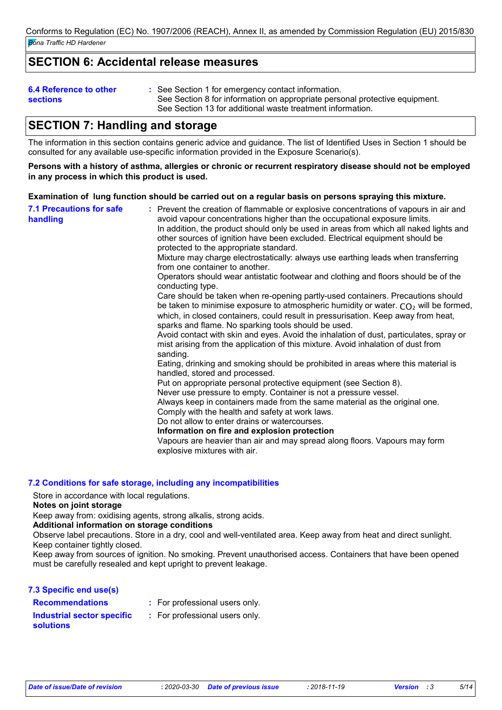### **SECTION 6: Accidental release measures**

#### **6.4 Reference to other sections**

See Section 1 for emergency contact information. **:** See Section 8 for information on appropriate personal protective equipment. See Section 13 for additional waste treatment information.

### **SECTION 7: Handling and storage**

The information in this section contains generic advice and guidance. The list of Identified Uses in Section 1 should be consulted for any available use-specific information provided in the Exposure Scenario(s).

#### **Persons with a history of asthma, allergies or chronic or recurrent respiratory disease should not be employed in any process in which this product is used.**

**Examination of lung function should be carried out on a regular basis on persons spraying this mixture.**

| Put on appropriate personal protective equipment (see Section 8).<br>Never use pressure to empty. Container is not a pressure vessel.<br>Always keep in containers made from the same material as the original one.<br>Comply with the health and safety at work laws.<br>Do not allow to enter drains or watercourses.<br>Information on fire and explosion protection<br>Vapours are heavier than air and may spread along floors. Vapours may form<br>explosive mixtures with air. | <b>7.1 Precautions for safe</b><br>handling | : Prevent the creation of flammable or explosive concentrations of vapours in air and<br>avoid vapour concentrations higher than the occupational exposure limits.<br>In addition, the product should only be used in areas from which all naked lights and<br>other sources of ignition have been excluded. Electrical equipment should be<br>protected to the appropriate standard.<br>Mixture may charge electrostatically: always use earthing leads when transferring<br>from one container to another.<br>Operators should wear antistatic footwear and clothing and floors should be of the<br>conducting type.<br>Care should be taken when re-opening partly-used containers. Precautions should<br>be taken to minimise exposure to atmospheric humidity or water. $CO2$ will be formed,<br>which, in closed containers, could result in pressurisation. Keep away from heat,<br>sparks and flame. No sparking tools should be used.<br>Avoid contact with skin and eyes. Avoid the inhalation of dust, particulates, spray or<br>mist arising from the application of this mixture. Avoid inhalation of dust from<br>sanding.<br>Eating, drinking and smoking should be prohibited in areas where this material is<br>handled, stored and processed. |
|---------------------------------------------------------------------------------------------------------------------------------------------------------------------------------------------------------------------------------------------------------------------------------------------------------------------------------------------------------------------------------------------------------------------------------------------------------------------------------------|---------------------------------------------|-----------------------------------------------------------------------------------------------------------------------------------------------------------------------------------------------------------------------------------------------------------------------------------------------------------------------------------------------------------------------------------------------------------------------------------------------------------------------------------------------------------------------------------------------------------------------------------------------------------------------------------------------------------------------------------------------------------------------------------------------------------------------------------------------------------------------------------------------------------------------------------------------------------------------------------------------------------------------------------------------------------------------------------------------------------------------------------------------------------------------------------------------------------------------------------------------------------------------------------------------------------------|
|---------------------------------------------------------------------------------------------------------------------------------------------------------------------------------------------------------------------------------------------------------------------------------------------------------------------------------------------------------------------------------------------------------------------------------------------------------------------------------------|---------------------------------------------|-----------------------------------------------------------------------------------------------------------------------------------------------------------------------------------------------------------------------------------------------------------------------------------------------------------------------------------------------------------------------------------------------------------------------------------------------------------------------------------------------------------------------------------------------------------------------------------------------------------------------------------------------------------------------------------------------------------------------------------------------------------------------------------------------------------------------------------------------------------------------------------------------------------------------------------------------------------------------------------------------------------------------------------------------------------------------------------------------------------------------------------------------------------------------------------------------------------------------------------------------------------------|

### **7.2 Conditions for safe storage, including any incompatibilities**

Store in accordance with local regulations.

#### **Notes on joint storage**

Keep away from: oxidising agents, strong alkalis, strong acids.

### **Additional information on storage conditions**

Observe label precautions. Store in a dry, cool and well-ventilated area. Keep away from heat and direct sunlight. Keep container tightly closed.

Keep away from sources of ignition. No smoking. Prevent unauthorised access. Containers that have been opened must be carefully resealed and kept upright to prevent leakage.

| 7.3 Specific end use(s)                        |                                |
|------------------------------------------------|--------------------------------|
| <b>Recommendations</b>                         | : For professional users only. |
| Industrial sector specific<br><b>solutions</b> | : For professional users only. |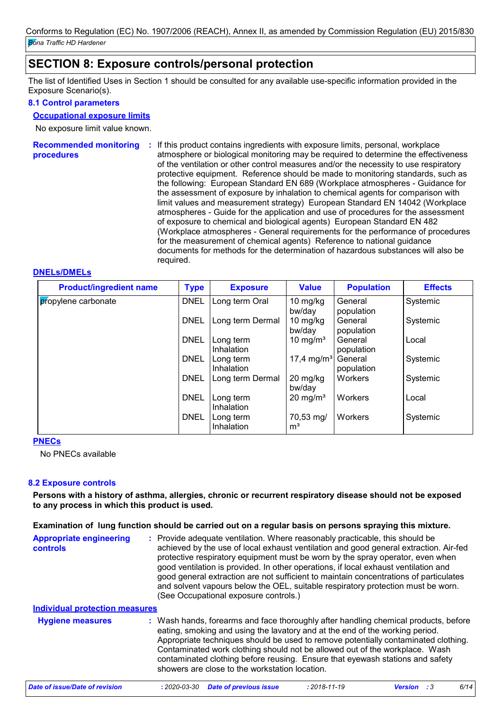### **SECTION 8: Exposure controls/personal protection**

The list of Identified Uses in Section 1 should be consulted for any available use-specific information provided in the Exposure Scenario(s).

### **8.1 Control parameters**

#### **Occupational exposure limits**

No exposure limit value known.

**Recommended monitoring : If this product contains ingredients with exposure limits, personal, workplace procedures** atmosphere or biological monitoring may be required to determine the effectiveness of the ventilation or other control measures and/or the necessity to use respiratory protective equipment. Reference should be made to monitoring standards, such as the following: European Standard EN 689 (Workplace atmospheres - Guidance for the assessment of exposure by inhalation to chemical agents for comparison with limit values and measurement strategy) European Standard EN 14042 (Workplace atmospheres - Guide for the application and use of procedures for the assessment of exposure to chemical and biological agents) European Standard EN 482 (Workplace atmospheres - General requirements for the performance of procedures for the measurement of chemical agents) Reference to national guidance documents for methods for the determination of hazardous substances will also be required.

### **DNELs/DMELs**

| <b>Product/ingredient name</b> | <b>Type</b> | <b>Exposure</b>         | <b>Value</b>                | <b>Population</b>     | <b>Effects</b> |
|--------------------------------|-------------|-------------------------|-----------------------------|-----------------------|----------------|
| propylene carbonate            | <b>DNEL</b> | Long term Oral          | 10 mg/kg<br>bw/day          | General<br>population | Systemic       |
|                                | <b>DNEL</b> | Long term Dermal        | 10 $mg/kg$<br>bw/day        | General<br>population | Systemic       |
|                                | <b>DNEL</b> | Long term<br>Inhalation | 10 mg/m <sup>3</sup>        | General<br>population | Local          |
|                                | <b>DNEL</b> | Long term<br>Inhalation | 17,4 mg/m <sup>3</sup>      | General<br>population | Systemic       |
|                                | <b>DNEL</b> | Long term Dermal        | 20 mg/kg<br>bw/day          | Workers               | Systemic       |
|                                | <b>DNEL</b> | Long term<br>Inhalation | $20 \text{ mg/m}^3$         | <b>Workers</b>        | Local          |
|                                | <b>DNEL</b> | Long term<br>Inhalation | 70,53 mg/<br>m <sup>3</sup> | Workers               | Systemic       |

#### **PNECs**

No PNECs available

### **8.2 Exposure controls**

**Persons with a history of asthma, allergies, chronic or recurrent respiratory disease should not be exposed to any process in which this product is used.**

#### **Examination of lung function should be carried out on a regular basis on persons spraying this mixture.**

| <b>Appropriate engineering</b><br><b>controls</b> | : Provide adequate ventilation. Where reasonably practicable, this should be<br>achieved by the use of local exhaust ventilation and good general extraction. Air-fed<br>protective respiratory equipment must be worn by the spray operator, even when<br>good ventilation is provided. In other operations, if local exhaust ventilation and<br>good general extraction are not sufficient to maintain concentrations of particulates<br>and solvent vapours below the OEL, suitable respiratory protection must be worn.<br>(See Occupational exposure controls.) |
|---------------------------------------------------|----------------------------------------------------------------------------------------------------------------------------------------------------------------------------------------------------------------------------------------------------------------------------------------------------------------------------------------------------------------------------------------------------------------------------------------------------------------------------------------------------------------------------------------------------------------------|
| <b>Individual protection measures</b>             |                                                                                                                                                                                                                                                                                                                                                                                                                                                                                                                                                                      |
| <b>Hygiene measures</b>                           | : Wash hands, forearms and face thoroughly after handling chemical products, before<br>eating, smoking and using the lavatory and at the end of the working period.<br>Appropriate techniques should be used to remove potentially contaminated clothing.<br>Contaminated work clothing should not be allowed out of the workplace. Wash                                                                                                                                                                                                                             |

showers are close to the workstation location. *Date of issue/Date of revision* **:** *2020-03-30 Date of previous issue : 2018-11-19 Version : 3 6/14*

contaminated clothing before reusing. Ensure that eyewash stations and safety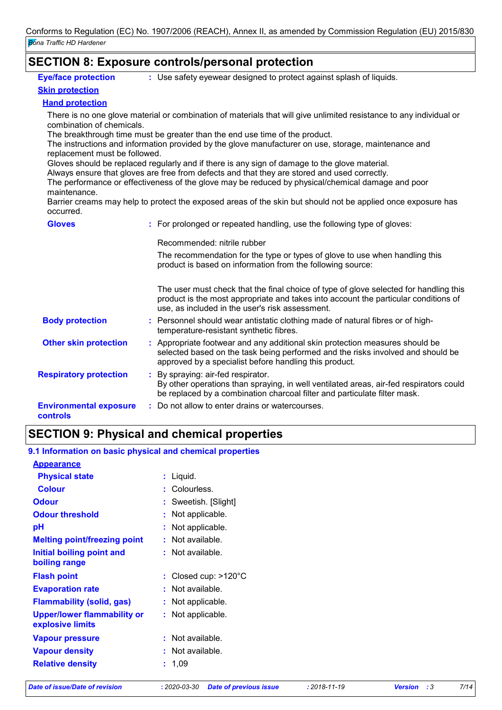### **SECTION 8: Exposure controls/personal protection**

**Eye/face protection**

Use safety eyewear designed to protect against splash of liquids. **:**

### **Skin protection**

**Hand protection**

There is no one glove material or combination of materials that will give unlimited resistance to any individual or combination of chemicals.

The breakthrough time must be greater than the end use time of the product.

The instructions and information provided by the glove manufacturer on use, storage, maintenance and replacement must be followed.

Gloves should be replaced regularly and if there is any sign of damage to the glove material.

Always ensure that gloves are free from defects and that they are stored and used correctly.

The performance or effectiveness of the glove may be reduced by physical/chemical damage and poor maintenance.

Barrier creams may help to protect the exposed areas of the skin but should not be applied once exposure has occurred.

| <b>Gloves</b> |
|---------------|
|---------------|

| <b>Gloves</b>                                    | : For prolonged or repeated handling, use the following type of gloves:                                                                                                                                                         |
|--------------------------------------------------|---------------------------------------------------------------------------------------------------------------------------------------------------------------------------------------------------------------------------------|
|                                                  | Recommended: nitrile rubber                                                                                                                                                                                                     |
|                                                  | The recommendation for the type or types of glove to use when handling this<br>product is based on information from the following source:                                                                                       |
|                                                  | The user must check that the final choice of type of glove selected for handling this<br>product is the most appropriate and takes into account the particular conditions of<br>use, as included in the user's risk assessment. |
| <b>Body protection</b>                           | : Personnel should wear antistatic clothing made of natural fibres or of high-<br>temperature-resistant synthetic fibres.                                                                                                       |
| <b>Other skin protection</b>                     | : Appropriate footwear and any additional skin protection measures should be<br>selected based on the task being performed and the risks involved and should be<br>approved by a specialist before handling this product.       |
| <b>Respiratory protection</b>                    | : By spraying: air-fed respirator.<br>By other operations than spraying, in well ventilated areas, air-fed respirators could<br>be replaced by a combination charcoal filter and particulate filter mask.                       |
| <b>Environmental exposure</b><br><b>controls</b> | : Do not allow to enter drains or watercourses.                                                                                                                                                                                 |

# **SECTION 9: Physical and chemical properties**

### **9.1 Information on basic physical and chemical properties**

| <b>Appearance</b>                                      |                         |
|--------------------------------------------------------|-------------------------|
| <b>Physical state</b>                                  | Liquid.<br>÷            |
| <b>Colour</b>                                          | Colourless.             |
| <b>Odour</b>                                           | Sweetish. [Slight]      |
| <b>Odour threshold</b>                                 | Not applicable.<br>t    |
| рH                                                     | Not applicable.         |
| <b>Melting point/freezing point</b>                    | $:$ Not available.      |
| Initial boiling point and<br>boiling range             | $:$ Not available.      |
| <b>Flash point</b>                                     | Closed cup: >120°C<br>t |
| <b>Evaporation rate</b>                                | $:$ Not available.      |
| <b>Flammability (solid, gas)</b>                       | : Not applicable.       |
| <b>Upper/lower flammability or</b><br>explosive limits | Not applicable.         |
| <b>Vapour pressure</b>                                 | Not available.          |
| <b>Vapour density</b>                                  | Not available.          |
| <b>Relative density</b>                                | 1,09<br>÷.              |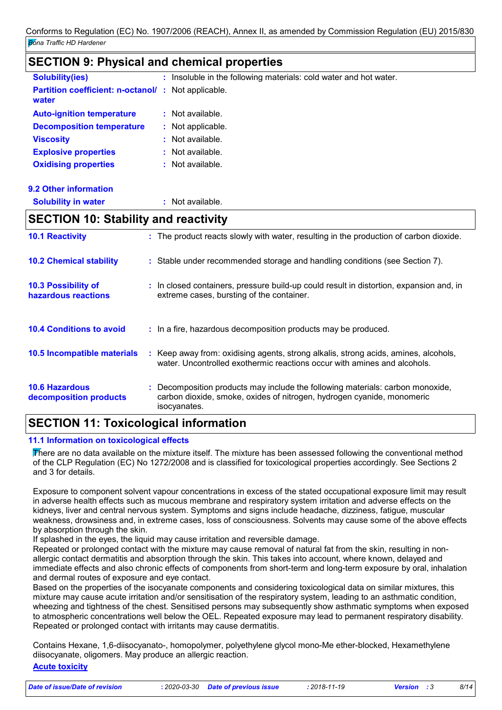### **SECTION 9: Physical and chemical properties**

| <b>Solubility(ies)</b>                                              | : Insoluble in the following materials: cold water and hot water.                      |
|---------------------------------------------------------------------|----------------------------------------------------------------------------------------|
| <b>Partition coefficient: n-octanol/ :</b> Not applicable.<br>water |                                                                                        |
| <b>Auto-ignition temperature</b>                                    | $:$ Not available.                                                                     |
| <b>Decomposition temperature</b>                                    | : Not applicable.                                                                      |
| <b>Viscosity</b>                                                    | $:$ Not available.                                                                     |
| <b>Explosive properties</b>                                         | $:$ Not available.                                                                     |
| <b>Oxidising properties</b>                                         | $:$ Not available.                                                                     |
| 9.2 Other information                                               |                                                                                        |
| <b>Solubility in water</b>                                          | $:$ Not available.                                                                     |
| <b>SECTION 10: Stability and reactivity</b>                         |                                                                                        |
| <b>10.1 Reactivity</b>                                              | : The product reacts slowly with water, resulting in the production of carbon dioxide. |
| <b>10.2 Chemical stability</b>                                      | : Stable under recommended storage and handling conditions (see Section 7).            |

| <b>10.3 Possibility of</b><br>hazardous reactions |    | : In closed containers, pressure build-up could result in distortion, expansion and, in<br>extreme cases, bursting of the container.                          |
|---------------------------------------------------|----|---------------------------------------------------------------------------------------------------------------------------------------------------------------|
| <b>10.4 Conditions to avoid</b>                   |    | : In a fire, hazardous decomposition products may be produced.                                                                                                |
| 10.5 Incompatible materials                       | ÷. | Keep away from: oxidising agents, strong alkalis, strong acids, amines, alcohols,<br>water. Uncontrolled exothermic reactions occur with amines and alcohols. |
| <b>10.6 Hazardous</b>                             |    | Decomposition products may include the following materials: carbon monoxide,                                                                                  |

### **SECTION 11: Toxicological information**

### **11.1 Information on toxicological effects**

**decomposition products**

There are no data available on the mixture itself. The mixture has been assessed following the conventional method of the CLP Regulation (EC) No 1272/2008 and is classified for toxicological properties accordingly. See Sections 2 and 3 for details.

carbon dioxide, smoke, oxides of nitrogen, hydrogen cyanide, monomeric

Exposure to component solvent vapour concentrations in excess of the stated occupational exposure limit may result in adverse health effects such as mucous membrane and respiratory system irritation and adverse effects on the kidneys, liver and central nervous system. Symptoms and signs include headache, dizziness, fatigue, muscular weakness, drowsiness and, in extreme cases, loss of consciousness. Solvents may cause some of the above effects by absorption through the skin.

If splashed in the eyes, the liquid may cause irritation and reversible damage.

isocyanates.

Repeated or prolonged contact with the mixture may cause removal of natural fat from the skin, resulting in nonallergic contact dermatitis and absorption through the skin. This takes into account, where known, delayed and immediate effects and also chronic effects of components from short-term and long-term exposure by oral, inhalation and dermal routes of exposure and eye contact.

Based on the properties of the isocyanate components and considering toxicological data on similar mixtures, this mixture may cause acute irritation and/or sensitisation of the respiratory system, leading to an asthmatic condition, wheezing and tightness of the chest. Sensitised persons may subsequently show asthmatic symptoms when exposed to atmospheric concentrations well below the OEL. Repeated exposure may lead to permanent respiratory disability. Repeated or prolonged contact with irritants may cause dermatitis.

Contains Hexane, 1,6-diisocyanato-, homopolymer, polyethylene glycol mono-Me ether-blocked, Hexamethylene diisocyanate, oligomers. May produce an allergic reaction.

### **Acute toxicity**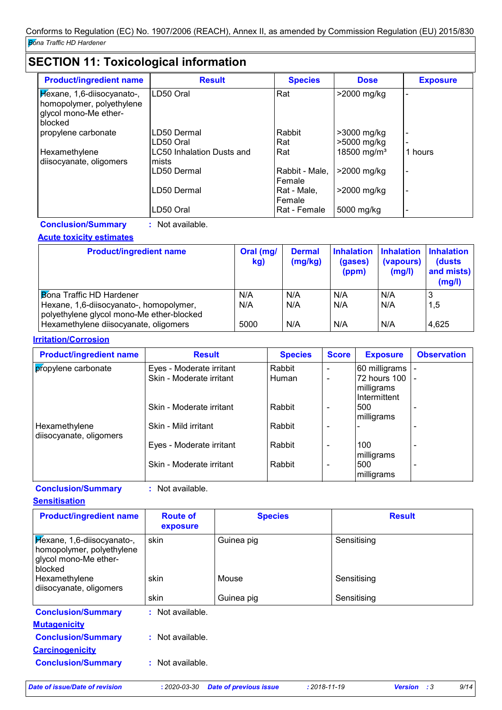# **SECTION 11: Toxicological information**

| <b>Product/ingredient name</b>                                                              | <b>Result</b>                             | <b>Species</b>           | <b>Dose</b>                | <b>Exposure</b> |
|---------------------------------------------------------------------------------------------|-------------------------------------------|--------------------------|----------------------------|-----------------|
| Hexane, 1,6-diisocyanato-,<br>homopolymer, polyethylene<br>glycol mono-Me ether-<br>blocked | LD50 Oral                                 | Rat                      | >2000 mg/kg                |                 |
| propylene carbonate                                                                         | LD50 Dermal<br>LD50 Oral                  | Rabbit<br>Rat            | >3000 mg/kg<br>>5000 mg/kg |                 |
| Hexamethylene<br>diisocyanate, oligomers                                                    | <b>LC50 Inhalation Dusts and</b><br>mists | Rat                      | 18500 mg/m <sup>3</sup>    | 1 hours         |
|                                                                                             | LD50 Dermal                               | Rabbit - Male,<br>Female | >2000 mg/kg                |                 |
|                                                                                             | LD50 Dermal                               | Rat - Male,<br>Female    | >2000 mg/kg                |                 |
|                                                                                             | LD50 Oral                                 | Rat - Female             | 5000 mg/kg                 |                 |

**Conclusion/Summary :** Not available.

### **Acute toxicity estimates**

| <b>Product/ingredient name</b>                                                       | Oral (mg/<br>kg) | <b>Dermal</b><br>(mg/kg) | <b>Inhalation</b><br>(gases)<br>(ppm) | <b>Inhalation Inhalation</b><br>(vapours)<br>(mg/l) | (dusts)<br>and mists)<br>(mg/l) |
|--------------------------------------------------------------------------------------|------------------|--------------------------|---------------------------------------|-----------------------------------------------------|---------------------------------|
| <b>Bona Traffic HD Hardener</b>                                                      | N/A              | N/A                      | N/A                                   | N/A                                                 |                                 |
| Hexane, 1,6-diisocyanato-, homopolymer,<br>polyethylene glycol mono-Me ether-blocked | N/A              | N/A                      | N/A                                   | N/A                                                 | 1,5                             |
| Hexamethylene diisocyanate, oligomers                                                | 5000             | N/A                      | N/A                                   | N/A                                                 | 4,625                           |

### **Irritation/Corrosion**

| <b>Product/ingredient name</b>           | <b>Result</b>            | <b>Species</b> | <b>Score</b>             | <b>Exposure</b>                               | <b>Observation</b>       |
|------------------------------------------|--------------------------|----------------|--------------------------|-----------------------------------------------|--------------------------|
| propylene carbonate                      | Eyes - Moderate irritant | Rabbit         | $\overline{\phantom{a}}$ | 60 milligrams                                 |                          |
|                                          | Skin - Moderate irritant | Human          |                          | 72 hours 100  -<br>milligrams<br>Intermittent |                          |
|                                          | Skin - Moderate irritant | Rabbit         |                          | 500<br>milligrams                             | $\overline{\phantom{0}}$ |
| Hexamethylene<br>diisocyanate, oligomers | Skin - Mild irritant     | Rabbit         |                          |                                               |                          |
|                                          | Eyes - Moderate irritant | Rabbit         | $\overline{\phantom{0}}$ | 100<br>milligrams                             | $\overline{\phantom{0}}$ |
|                                          | Skin - Moderate irritant | Rabbit         | $\overline{\phantom{a}}$ | 500<br>milligrams                             | $\overline{\phantom{0}}$ |

### **Conclusion/Summary :** Not available.

| <b>Sensitisation</b> |  |
|----------------------|--|
|----------------------|--|

| <b>Product/ingredient name</b>                                                              | <b>Route of</b><br>exposure | <b>Species</b> | <b>Result</b> |
|---------------------------------------------------------------------------------------------|-----------------------------|----------------|---------------|
| Hexane, 1,6-diisocyanato-,<br>homopolymer, polyethylene<br>glycol mono-Me ether-<br>blocked | skin                        | Guinea pig     | Sensitising   |
| Hexamethylene<br>diisocyanate, oligomers                                                    | skin                        | Mouse          | Sensitising   |
|                                                                                             | skin                        | Guinea pig     | Sensitising   |
| <b>Conclusion/Summary</b>                                                                   | : Not available.            |                |               |
| <b>Mutagenicity</b>                                                                         |                             |                |               |
| <b>Conclusion/Summary</b>                                                                   | : Not available.            |                |               |
| <b>Carcinogenicity</b>                                                                      |                             |                |               |
| <b>Conclusion/Summary</b>                                                                   | : Not available.            |                |               |

*Date of issue/Date of revision* **:** *2020-03-30 Date of previous issue : 2018-11-19 Version : 3 9/14*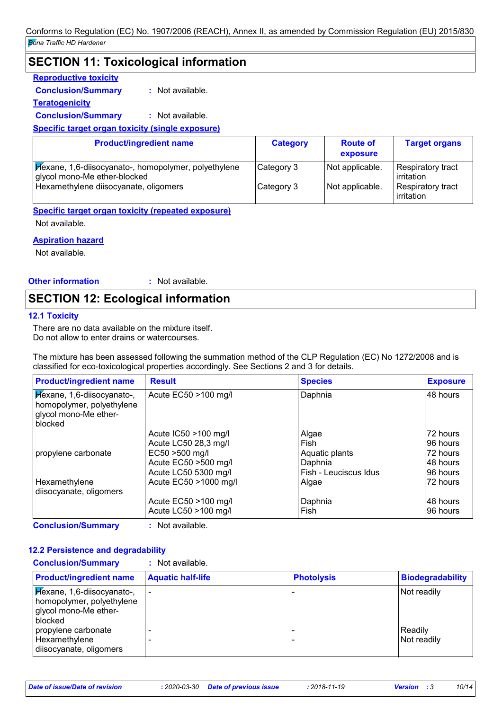### **SECTION 11: Toxicological information**

### **Reproductive toxicity**

**Conclusion/Summary :** Not available.

**Teratogenicity**

**Conclusion/Summary :** Not available.

**Specific target organ toxicity (single exposure)**

| <b>Product/ingredient name</b>                                                       | <b>Category</b> | <b>Route of</b><br>exposure | <b>Target organs</b>                     |
|--------------------------------------------------------------------------------------|-----------------|-----------------------------|------------------------------------------|
| Hexane, 1,6-diisocyanato-, homopolymer, polyethylene<br>glycol mono-Me ether-blocked | Category 3      | Not applicable.             | Respiratory tract<br><b>l</b> irritation |
| Hexamethylene diisocyanate, oligomers                                                | Category 3      | Not applicable.             | Respiratory tract<br>irritation          |

### **Specific target organ toxicity (repeated exposure)**

Not available.

### **Aspiration hazard**

Not available.

**Other information :** : Not available.

### **SECTION 12: Ecological information**

### **12.1 Toxicity**

There are no data available on the mixture itself. Do not allow to enter drains or watercourses.

The mixture has been assessed following the summation method of the CLP Regulation (EC) No 1272/2008 and is classified for eco-toxicological properties accordingly. See Sections 2 and 3 for details.

| <b>Product/ingredient name</b>                                                              | <b>Result</b>           | <b>Species</b>        | <b>Exposure</b> |
|---------------------------------------------------------------------------------------------|-------------------------|-----------------------|-----------------|
| Kexane, 1,6-diisocyanato-,<br>homopolymer, polyethylene<br>glycol mono-Me ether-<br>blocked | Acute EC50 >100 mg/l    | Daphnia               | 48 hours        |
|                                                                                             | Acute $IC50 > 100$ mg/l | Algae                 | 72 hours        |
|                                                                                             | Acute LC50 28,3 mg/l    | Fish                  | 96 hours        |
| propylene carbonate                                                                         | $EC50 > 500$ mg/l       | Aquatic plants        | 72 hours        |
|                                                                                             | Acute EC50 >500 mg/l    | Daphnia               | 48 hours        |
|                                                                                             | Acute LC50 5300 mg/l    | Fish - Leuciscus Idus | 96 hours        |
| Hexamethylene                                                                               | Acute EC50 >1000 mg/l   | Algae                 | 72 hours        |
| diisocyanate, oligomers                                                                     |                         |                       |                 |
|                                                                                             | Acute $EC50 > 100$ mg/l | Daphnia               | 48 hours        |
|                                                                                             | Acute LC50 >100 mg/l    | Fish                  | 96 hours        |

**Conclusion/Summary :** Not available.

#### **12.2 Persistence and degradability Conclusion/Summary :** Not available.

| Conclusion/Summary                                                                          | <b>NOL available.</b>    |                   |                          |
|---------------------------------------------------------------------------------------------|--------------------------|-------------------|--------------------------|
| <b>Product/ingredient name</b>                                                              | <b>Aquatic half-life</b> | <b>Photolysis</b> | <b>Biodegradability</b>  |
| Hexane, 1,6-diisocyanato-,<br>homopolymer, polyethylene<br>glycol mono-Me ether-<br>blocked |                          |                   | Not readily              |
| propylene carbonate<br>Hexamethylene<br>disocyanate, oligomers                              | -                        |                   | l Readilv<br>Not readily |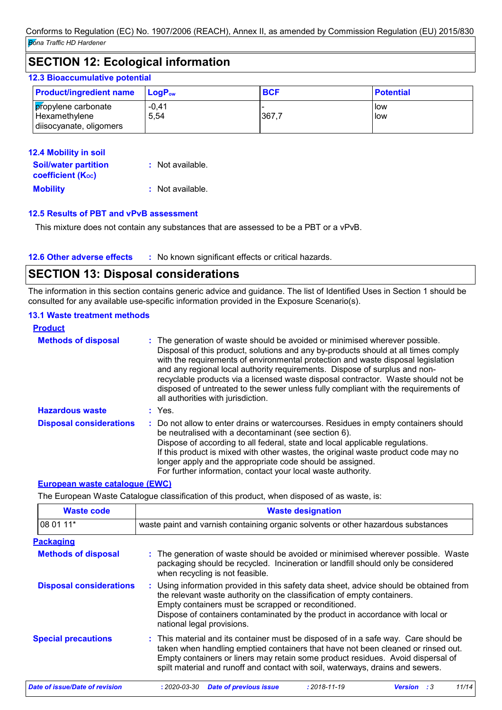### **SECTION 12: Ecological information**

### **12.3 Bioaccumulative potential**

| <b>Product/ingredient name</b>                                 | $\mathsf{LoaP}_\mathsf{ow}$ | <b>BCF</b> | <b>Potential</b> |
|----------------------------------------------------------------|-----------------------------|------------|------------------|
| propylene carbonate<br>Hexamethylene<br>disocyanate, oligomers | $-0,41$<br>5,54             | 367.7      | low<br>low       |

| 12.4 Mobility in soil                                   |                  |
|---------------------------------------------------------|------------------|
| <b>Soil/water partition</b><br><b>coefficient (Koc)</b> | : Not available. |
| <b>Mobility</b>                                         | : Not available. |

#### **12.5 Results of PBT and vPvB assessment**

This mixture does not contain any substances that are assessed to be a PBT or a vPvB.

#### **12.6 Other adverse effects** : No known significant effects or critical hazards.

### **SECTION 13: Disposal considerations**

The information in this section contains generic advice and guidance. The list of Identified Uses in Section 1 should be consulted for any available use-specific information provided in the Exposure Scenario(s).

#### **13.1 Waste treatment methods**

| <b>Product</b>                 |                                                                                                                                                                                                                                                                                                                                                                                                                                                                                                                                                      |
|--------------------------------|------------------------------------------------------------------------------------------------------------------------------------------------------------------------------------------------------------------------------------------------------------------------------------------------------------------------------------------------------------------------------------------------------------------------------------------------------------------------------------------------------------------------------------------------------|
| <b>Methods of disposal</b>     | : The generation of waste should be avoided or minimised wherever possible.<br>Disposal of this product, solutions and any by-products should at all times comply<br>with the requirements of environmental protection and waste disposal legislation<br>and any regional local authority requirements. Dispose of surplus and non-<br>recyclable products via a licensed waste disposal contractor. Waste should not be<br>disposed of untreated to the sewer unless fully compliant with the requirements of<br>all authorities with jurisdiction. |
| <b>Hazardous waste</b>         | $:$ Yes.                                                                                                                                                                                                                                                                                                                                                                                                                                                                                                                                             |
| <b>Disposal considerations</b> | : Do not allow to enter drains or watercourses. Residues in empty containers should<br>be neutralised with a decontaminant (see section 6).<br>Dispose of according to all federal, state and local applicable regulations.<br>If this product is mixed with other wastes, the original waste product code may no<br>longer apply and the appropriate code should be assigned.<br>For further information, contact your local waste authority.                                                                                                       |

### **European waste catalogue (EWC)**

The European Waste Catalogue classification of this product, when disposed of as waste, is:

| <b>Waste code</b>                     | <b>Waste designation</b>                                                                                                                                                                                                                                                                                                                     |  |  |
|---------------------------------------|----------------------------------------------------------------------------------------------------------------------------------------------------------------------------------------------------------------------------------------------------------------------------------------------------------------------------------------------|--|--|
| 08 01 11*                             | waste paint and varnish containing organic solvents or other hazardous substances                                                                                                                                                                                                                                                            |  |  |
| <b>Packaging</b>                      |                                                                                                                                                                                                                                                                                                                                              |  |  |
| <b>Methods of disposal</b>            | : The generation of waste should be avoided or minimised wherever possible. Waste<br>packaging should be recycled. Incineration or landfill should only be considered<br>when recycling is not feasible.                                                                                                                                     |  |  |
| <b>Disposal considerations</b>        | : Using information provided in this safety data sheet, advice should be obtained from<br>the relevant waste authority on the classification of empty containers.<br>Empty containers must be scrapped or reconditioned.<br>Dispose of containers contaminated by the product in accordance with local or<br>national legal provisions.      |  |  |
| <b>Special precautions</b>            | : This material and its container must be disposed of in a safe way. Care should be<br>taken when handling emptied containers that have not been cleaned or rinsed out.<br>Empty containers or liners may retain some product residues. Avoid dispersal of<br>spilt material and runoff and contact with soil, waterways, drains and sewers. |  |  |
| <b>Date of issue/Date of revision</b> | 11/14<br>$: 2020 - 03 - 30$<br><b>Date of previous issue</b><br>$: 2018 - 11 - 19$<br><b>Version</b> :3                                                                                                                                                                                                                                      |  |  |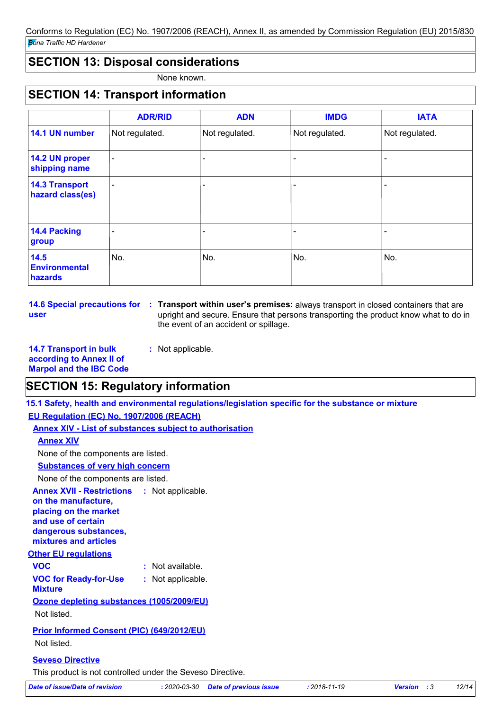### **SECTION 13: Disposal considerations**

None known.

# **SECTION 14: Transport information**

|                                           | <b>ADR/RID</b>           | <b>ADN</b>     | <b>IMDG</b>    | <b>IATA</b>    |
|-------------------------------------------|--------------------------|----------------|----------------|----------------|
| 14.1 UN number                            | Not regulated.           | Not regulated. | Not regulated. | Not regulated. |
| 14.2 UN proper<br>shipping name           | $\blacksquare$           |                |                |                |
| <b>14.3 Transport</b><br>hazard class(es) | $\overline{\phantom{a}}$ | -              |                |                |
| 14.4 Packing<br>group                     |                          |                |                |                |
| 14.5<br><b>Environmental</b><br>hazards   | No.                      | No.            | No.            | No.            |

**user**

**14.6 Special precautions for : Transport within user's premises: always transport in closed containers that are** upright and secure. Ensure that persons transporting the product know what to do in the event of an accident or spillage.

**14.7 Transport in bulk according to Annex II of Marpol and the IBC Code :** Not applicable.

### **SECTION 15: Regulatory information**

**15.1 Safety, health and environmental regulations/legislation specific for the substance or mixture**

### **EU Regulation (EC) No. 1907/2006 (REACH)**

**Annex XIV - List of substances subject to authorisation**

### **Annex XIV**

None of the components are listed.

### **Substances of very high concern**

None of the components are listed.

### **Annex XVII - Restrictions :** Not applicable. **on the manufacture, placing on the market and use of certain dangerous substances, mixtures and articles**

### **Other EU regulations**

**VOC for Ready-for-Use Mixture :** Not applicable. **VOC :** Not available.

# **Ozone depleting substances (1005/2009/EU)**

Not listed.

### **Prior Informed Consent (PIC) (649/2012/EU)** Not listed.

### **Seveso Directive**

This product is not controlled under the Seveso Directive.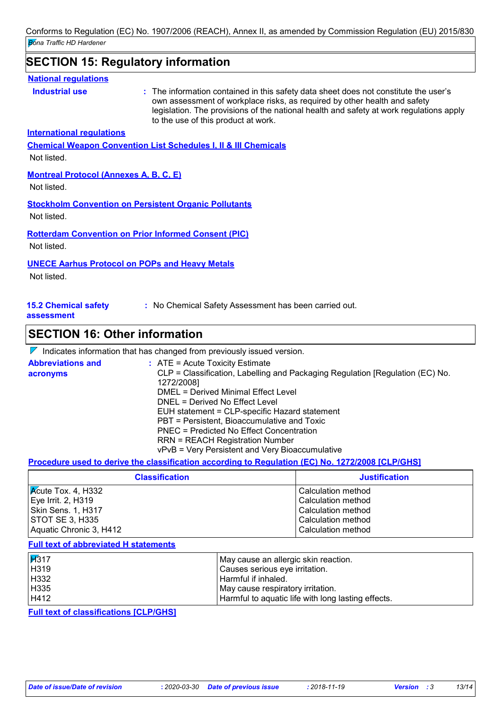### **SECTION 15: Regulatory information**

#### **National regulations**

**Industrial use <b>:** The information contained in this safety data sheet does not constitute the user's own assessment of workplace risks, as required by other health and safety legislation. The provisions of the national health and safety at work regulations apply to the use of this product at work.

**International regulations**

**Chemical Weapon Convention List Schedules I, II & III Chemicals**

Not listed.

### **Montreal Protocol (Annexes A, B, C, E)**

Not listed.

### **Stockholm Convention on Persistent Organic Pollutants**

Not listed.

### **Rotterdam Convention on Prior Informed Consent (PIC)**

Not listed.

### **UNECE Aarhus Protocol on POPs and Heavy Metals**

Not listed.

**15.2 Chemical safety** 

**:** No Chemical Safety Assessment has been carried out.

**assessment**

### **SECTION 16: Other information**

|                                      | $\mathcal V$ Indicates information that has changed from previously issued version.                                                                                                                                                                                                                                                                                                                                                                         |
|--------------------------------------|-------------------------------------------------------------------------------------------------------------------------------------------------------------------------------------------------------------------------------------------------------------------------------------------------------------------------------------------------------------------------------------------------------------------------------------------------------------|
| <b>Abbreviations and</b><br>acronyms | $\therefore$ ATE = Acute Toxicity Estimate<br>CLP = Classification, Labelling and Packaging Regulation [Regulation (EC) No.<br>1272/2008]<br>DMEL = Derived Minimal Effect Level<br>DNEL = Derived No Effect Level<br>EUH statement = CLP-specific Hazard statement<br>PBT = Persistent, Bioaccumulative and Toxic<br>PNEC = Predicted No Effect Concentration<br><b>RRN = REACH Registration Number</b><br>vPvB = Very Persistent and Very Bioaccumulative |

**Procedure used to derive the classification according to Regulation (EC) No. 1272/2008 [CLP/GHS]**

| <b>Classification</b>                | <b>Justification</b> |
|--------------------------------------|----------------------|
| $\sqrt{\mathsf{Acute}}$ Tox. 4, H332 | Calculation method   |
| Eye Irrit. 2, H319                   | Calculation method   |
| Skin Sens. 1, H317                   | Calculation method   |
| <b>STOT SE 3, H335</b>               | Calculation method   |
| Aquatic Chronic 3, H412              | Calculation method   |

#### **Full text of abbreviated H statements**

| H317 | May cause an allergic skin reaction.               |
|------|----------------------------------------------------|
| H319 | Causes serious eye irritation.                     |
| H332 | Harmful if inhaled.                                |
| H335 | May cause respiratory irritation.                  |
| H412 | Harmful to aquatic life with long lasting effects. |

**Full text of classifications [CLP/GHS]**